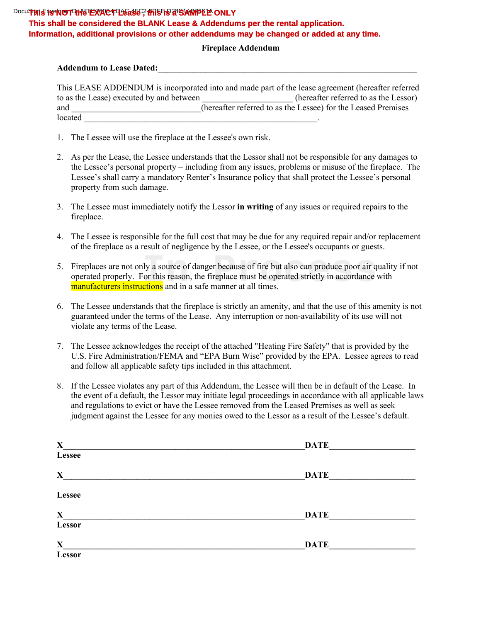#### Docu**Signi Enserior TO: He EXACT Lease ; this Fe at SIARPPLE ONLY This shall be considered the BLANK Lease & Addendums per the rental application. Information, additional provisions or other addendums may be changed or added at any time.**

#### **Fireplace Addendum**

#### **Addendum to Lease Dated:\_\_\_\_\_\_\_\_\_\_\_\_\_\_\_\_\_\_\_\_\_\_\_\_\_\_\_\_\_\_\_\_\_\_\_\_\_\_\_\_\_\_\_\_\_\_\_\_\_\_\_\_\_\_\_\_\_\_\_\_**

| This LEASE ADDENDUM is incorporated into and made part of the lease agreement (hereafter referred |                                                               |
|---------------------------------------------------------------------------------------------------|---------------------------------------------------------------|
| to as the Lease) executed by and between                                                          | (hereafter referred to as the Lessor)                         |
| and                                                                                               | (hereafter referred to as the Lessee) for the Leased Premises |
| located                                                                                           |                                                               |

- 1. The Lessee will use the fireplace at the Lessee's own risk.
- 2. As per the Lease, the Lessee understands that the Lessor shall not be responsible for any damages to the Lessee's personal property – including from any issues, problems or misuse of the fireplace. The Lessee's shall carry a mandatory Renter's Insurance policy that shall protect the Lessee's personal property from such damage.
- 3. The Lessee must immediately notify the Lessor **in writing** of any issues or required repairs to the fireplace.
- 4. The Lessee is responsible for the full cost that may be due for any required repair and/or replacement of the fireplace as a result of negligence by the Lessee, or the Lessee's occupants or guests.
- 5. Fireplaces are not only a source of danger because of fire but also can produce poor air quality if not operated properly. For this reason, the fireplace must be operated strictly in accordance with manufacturers instructions and in a safe manner at all times. Ily a source of danger because of fire but also can produce poor air q<br> **In the Source of danger because of fire but also can produce poor air q**<br> **In the Source of the Source Constance of the Source of the Source of the S**
- 6. The Lessee understands that the fireplace is strictly an amenity, and that the use of this amenity is not guaranteed under the terms of the Lease. Any interruption or non-availability of its use will not violate any terms of the Lease.
- 7. The Lessee acknowledges the receipt of the attached "Heating Fire Safety" that is provided by the U.S. Fire Administration/FEMA and "EPA Burn Wise" provided by the EPA. Lessee agrees to read and follow all applicable safety tips included in this attachment.
- 8. If the Lessee violates any part of this Addendum, the Lessee will then be in default of the Lease. In the event of a default, the Lessor may initiate legal proceedings in accordance with all applicable laws and regulations to evict or have the Lessee removed from the Leased Premises as well as seek judgment against the Lessee for any monies owed to the Lessor as a result of the Lessee's default.

| $\mathbf{X}$  | <b>DATE</b> |
|---------------|-------------|
| Lessee        |             |
| $\mathbf{X}$  | <b>DATE</b> |
| <b>Lessee</b> |             |
| $\mathbf{X}$  | <b>DATE</b> |
| Lessor        |             |
| $\mathbf X$   | <b>DATE</b> |
| Lessor        |             |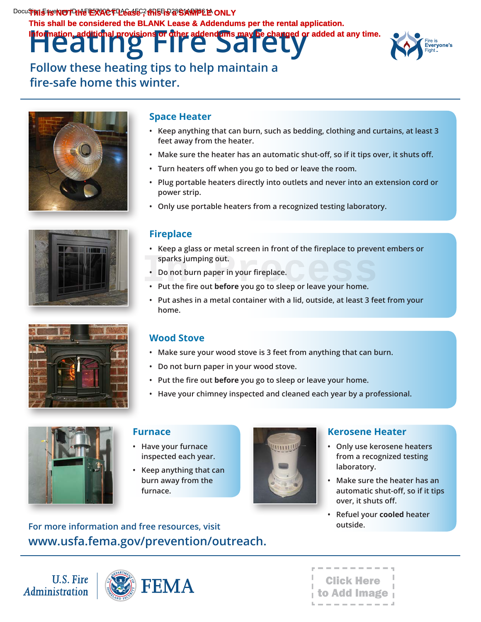**Heating Fire Safety** Docu**Signi Envelope TO: He EXACT Lease , this is a SIA MPLE ONLY This shall be considered the BLANK Lease & Addendums per the rental application. Information and a provided at any time.** 



**Follow these heating tips to help maintain a fire-safe home this winter.**







#### **Space Heater**

- **• Keep anything that can burn, such as bedding, clothing and curtains, at least 3 feet away from the heater.**
- **• Make sure the heater has an automatic shut-off, so if it tips over, it shuts off.**
- **• Turn heaters off when you go to bed or leave the room.**
- **• Plug portable heaters directly into outlets and never into an extension cord or power strip.**
- **• Only use portable heaters from a recognized testing laboratory.**

### **Fireplace**

- **• Keep a glass or metal screen in front of the fireplace to prevent embers or sparks jumping out. • Do not burn paper in your fireplace.**<br> **•** Put the fire out before you go to sleep or leave your home.
- **• Do not burn paper in your fireplace.**
- 
- **• Put ashes in a metal container with a lid, outside, at least 3 feet from your home.**

# **Wood Stove**

- **• Make sure your wood stove is 3 feet from anything that can burn.**
- **• Do not burn paper in your wood stove.**
- **• Put the fire out before you go to sleep or leave your home.**
- **• Have your chimney inspected and cleaned each year by a professional.**



#### **Furnace**

- **• Have your furnace inspected each year.**
- **• Keep anything that can burn away from the furnace.**



# **Kerosene Heater**

- **• Only use kerosene heaters from a recognized testing laboratory.**
- **• Make sure the heater has an automatic shut-off, so if it tips over, it shuts off.**
- **• Refuel your cooled heater**

# **For more outside. information and free resources, visit [www.usfa.fema.gov/prevention/outreach](http://www.usfa.fema.gov/prevention/outreach).**

**U.S. Fire** Administration